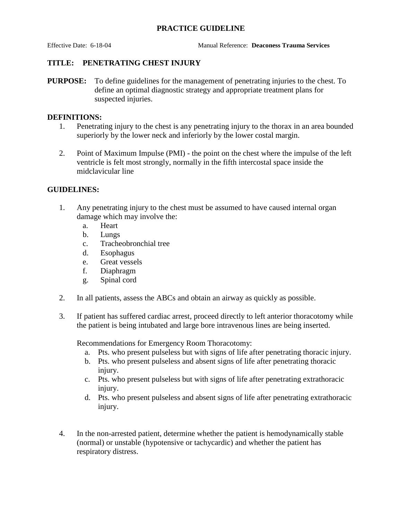## **PRACTICE GUIDELINE**

Effective Date: 6-18-04 Manual Reference: **Deaconess Trauma Services**

## **TITLE: PENETRATING CHEST INJURY**

**PURPOSE:** To define guidelines for the management of penetrating injuries to the chest. To define an optimal diagnostic strategy and appropriate treatment plans for suspected injuries.

#### **DEFINITIONS:**

- 1. Penetrating injury to the chest is any penetrating injury to the thorax in an area bounded superiorly by the lower neck and inferiorly by the lower costal margin.
- 2. Point of Maximum Impulse (PMI) the point on the chest where the impulse of the left ventricle is felt most strongly, normally in the fifth intercostal space inside the midclavicular line

## **GUIDELINES:**

- 1. Any penetrating injury to the chest must be assumed to have caused internal organ damage which may involve the:
	- a. Heart
	- b. Lungs
	- c. Tracheobronchial tree
	- d. Esophagus
	- e. Great vessels
	- f. Diaphragm
	- g. Spinal cord
- 2. In all patients, assess the ABCs and obtain an airway as quickly as possible.
- 3. If patient has suffered cardiac arrest, proceed directly to left anterior thoracotomy while the patient is being intubated and large bore intravenous lines are being inserted.

Recommendations for Emergency Room Thoracotomy:

- a. Pts. who present pulseless but with signs of life after penetrating thoracic injury.
- b. Pts. who present pulseless and absent signs of life after penetrating thoracic injury.
- c. Pts. who present pulseless but with signs of life after penetrating extrathoracic injury.
- d. Pts. who present pulseless and absent signs of life after penetrating extrathoracic injury.
- 4. In the non-arrested patient, determine whether the patient is hemodynamically stable (normal) or unstable (hypotensive or tachycardic) and whether the patient has respiratory distress.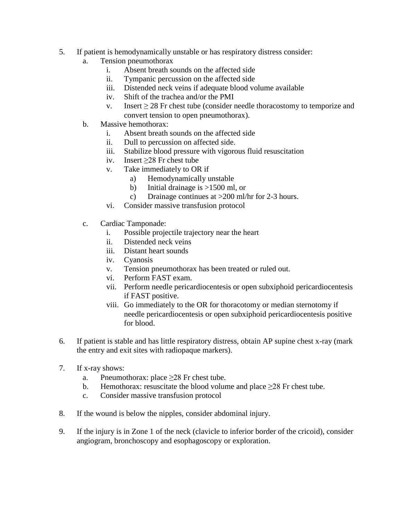- 5. If patient is hemodynamically unstable or has respiratory distress consider:
	- a. Tension pneumothorax
		- i. Absent breath sounds on the affected side
		- ii. Tympanic percussion on the affected side
		- iii. Distended neck veins if adequate blood volume available
		- iv. Shift of the trachea and/or the PMI
		- v. Insert  $\geq$  28 Fr chest tube (consider needle thoracostomy to temporize and convert tension to open pneumothorax).
	- b. Massive hemothorax:
		- i. Absent breath sounds on the affected side
		- ii. Dull to percussion on affected side.
		- iii. Stabilize blood pressure with vigorous fluid resuscitation
		- iv. Insert ≥28 Fr chest tube
		- v. Take immediately to OR if
			- a) Hemodynamically unstable
			- b) Initial drainage is >1500 ml, or
			- c) Drainage continues at >200 ml/hr for 2-3 hours.
		- vi. Consider massive transfusion protocol
	- c. Cardiac Tamponade:
		- i. Possible projectile trajectory near the heart
		- ii. Distended neck veins
		- iii. Distant heart sounds
		- iv. Cyanosis
		- v. Tension pneumothorax has been treated or ruled out.
		- vi. Perform FAST exam.
		- vii. Perform needle pericardiocentesis or open subxiphoid pericardiocentesis if FAST positive.
		- viii. Go immediately to the OR for thoracotomy or median sternotomy if needle pericardiocentesis or open subxiphoid pericardiocentesis positive for blood.
- 6. If patient is stable and has little respiratory distress, obtain AP supine chest x-ray (mark the entry and exit sites with radiopaque markers).
- 7. If x-ray shows:
	- a. Pneumothorax: place  $\geq$ 28 Fr chest tube.
	- b. Hemothorax: resuscitate the blood volume and place  $\geq 28$  Fr chest tube.
	- c. Consider massive transfusion protocol
- 8. If the wound is below the nipples, consider abdominal injury.
- 9. If the injury is in Zone 1 of the neck (clavicle to inferior border of the cricoid), consider angiogram, bronchoscopy and esophagoscopy or exploration.